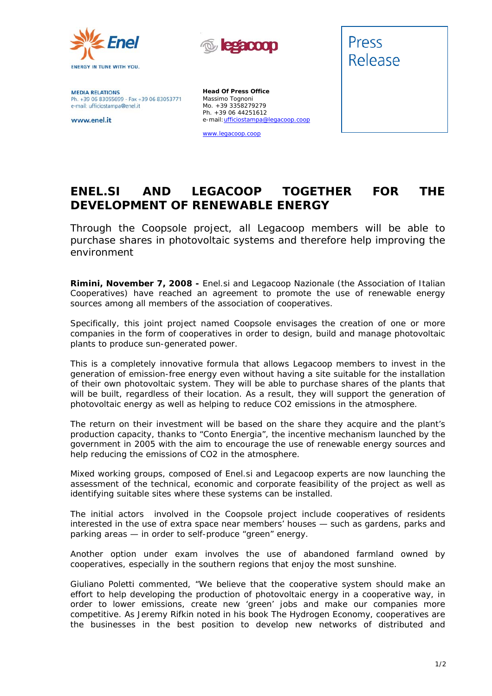



**MEDIA RELATIONS** Ph. +39 06 83055699 - Fax +39 06 83053771 e-mail: ufficiostampa@enel.it

www.enel.it

**Head Of Press Office** Massimo Tognoni Mo. +39 3358279279 Ph. +39 06 44251612 e-mail:ufficiostampa@legacoop.coop

www.legacoop.coop



## **ENEL.SI AND LEGACOOP TOGETHER FOR THE DEVELOPMENT OF RENEWABLE ENERGY**

*Through the Coopsole project, all Legacoop members will be able to purchase shares in photovoltaic systems and therefore help improving the environment* 

**Rimini, November 7, 2008 -** Enel.si and Legacoop Nazionale (the Association of Italian Cooperatives) have reached an agreement to promote the use of renewable energy sources among all members of the association of cooperatives.

Specifically, this joint project named Coopsole envisages the creation of one or more companies in the form of cooperatives in order to design, build and manage photovoltaic plants to produce sun-generated power.

This is a completely innovative formula that allows Legacoop members to invest in the generation of emission-free energy even without having a site suitable for the installation of their own photovoltaic system. They will be able to purchase shares of the plants that will be built, regardless of their location. As a result, they will support the generation of photovoltaic energy as well as helping to reduce CO2 emissions in the atmosphere.

The return on their investment will be based on the share they acquire and the plant's production capacity, thanks to "Conto Energia", the incentive mechanism launched by the government in 2005 with the aim to encourage the use of renewable energy sources and help reducing the emissions of CO2 in the atmosphere.

Mixed working groups, composed of Enel.si and Legacoop experts are now launching the assessment of the technical, economic and corporate feasibility of the project as well as identifying suitable sites where these systems can be installed.

The initial actors involved in the Coopsole project include cooperatives of residents interested in the use of extra space near members' houses — such as gardens, parks and parking areas — in order to self-produce "green" energy.

Another option under exam involves the use of abandoned farmland owned by cooperatives, especially in the southern regions that enjoy the most sunshine.

Giuliano Poletti commented, "We believe that the cooperative system should make an effort to help developing the production of photovoltaic energy in a cooperative way, in order to lower emissions, create new 'green' jobs and make our companies more competitive. As Jeremy Rifkin noted in his book *The Hydrogen Economy*, cooperatives are the businesses in the best position to develop new networks of distributed and